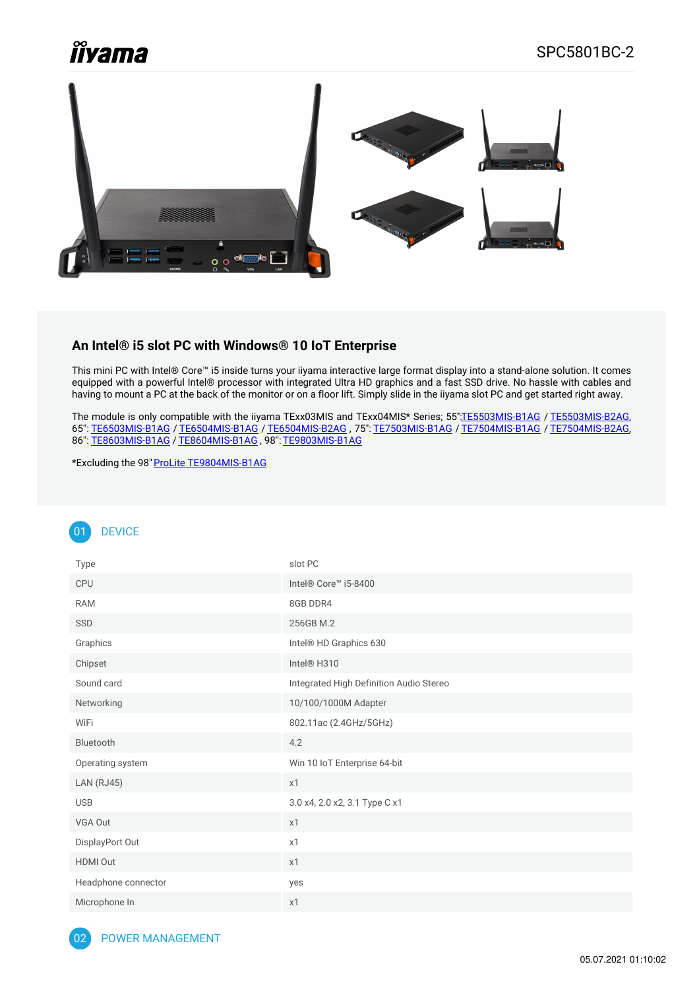# **Îiyama**



#### **An Intel® i5 slot PC with Windows® 10 IoT Enterprise**

This mini PC with Intel® Core™ i5 inside turns your iiyama interactive large format display into a stand-alone solution. It comes equipped with a powerful Intel® processor with integrated Ultra HD graphics and a fast SSD drive. No hassle with cables and having to mount a PC at the back of the monitor or on a floor lift. Simply slide in the iiyama slot PC and get started right away.

The module is only compatible with the iiyama TExx03MIS and TExx04MIS\* Series; 55"[:TE5503MIS-B1AG](https://iiyama.com/gl_en/products/prolite-te5503mis-b1ag/) / [TE5503MIS-B2AG](https://iiyama.com/gl_en/products/prolite-te5503mis-b2ag/), 65'': [TE6503MIS-B1AG](https://iiyama.com/gl_en/products/prolite-te6503mis-b1ag/) / [TE6504MIS-B1AG](https://iiyama.com/gl_en/products/prolite-te6504mis-b1ag/) / [TE6504MIS-B2AG](https://iiyama.com/gl_en/products/prolite-te6504mis-b2ag/) , 75": [TE7503MIS-B1AG](https://iiyama.com/gl_en/products/prolite-te7503mis-b1ag/) / [TE7504MIS-B1AG](https://iiyama.com/gl_en/products/prolite-te7504mis-b1ag/) / [TE7504MIS-B2AG](https://iiyama.com/gl_en/products/prolite-te7504mis-b2ag/), 86'': [TE8603MIS-B1AG](https://iiyama.com/gl_en/products/prolite-te8603mis-b1ag/) / [TE8604MIS-B1AG](https://iiyama.com/gl_en/products/prolite-te8604mis-b1ag/) , 98'': [TE9803MIS-B1AG](https://iiyama.com/gl_en/products/prolite-te9803mis-b1ag/)

\*Excluding the 98" ProLite [TE9804MIS-B1AG](https://iiyama.com/gl_en/products/prolite-te9804mis-b1ag/)

## 01 DEVICE

| Type                | slot PC                                 |
|---------------------|-----------------------------------------|
| CPU                 | Intel® Core™ i5-8400                    |
| <b>RAM</b>          | 8GB DDR4                                |
| SSD                 | 256GB M.2                               |
| Graphics            | Intel® HD Graphics 630                  |
| Chipset             | Intel® H310                             |
| Sound card          | Integrated High Definition Audio Stereo |
| Networking          | 10/100/1000M Adapter                    |
| WiFi                | 802.11ac (2.4GHz/5GHz)                  |
| Bluetooth           | 4.2                                     |
| Operating system    | Win 10 IoT Enterprise 64-bit            |
| <b>LAN (RJ45)</b>   | x1                                      |
| <b>USB</b>          | 3.0 x4, 2.0 x2, 3.1 Type C x1           |
| VGA Out             | x1                                      |
| DisplayPort Out     | x1                                      |
| <b>HDMI Out</b>     | x1                                      |
| Headphone connector | yes                                     |
| Microphone In       | x1                                      |